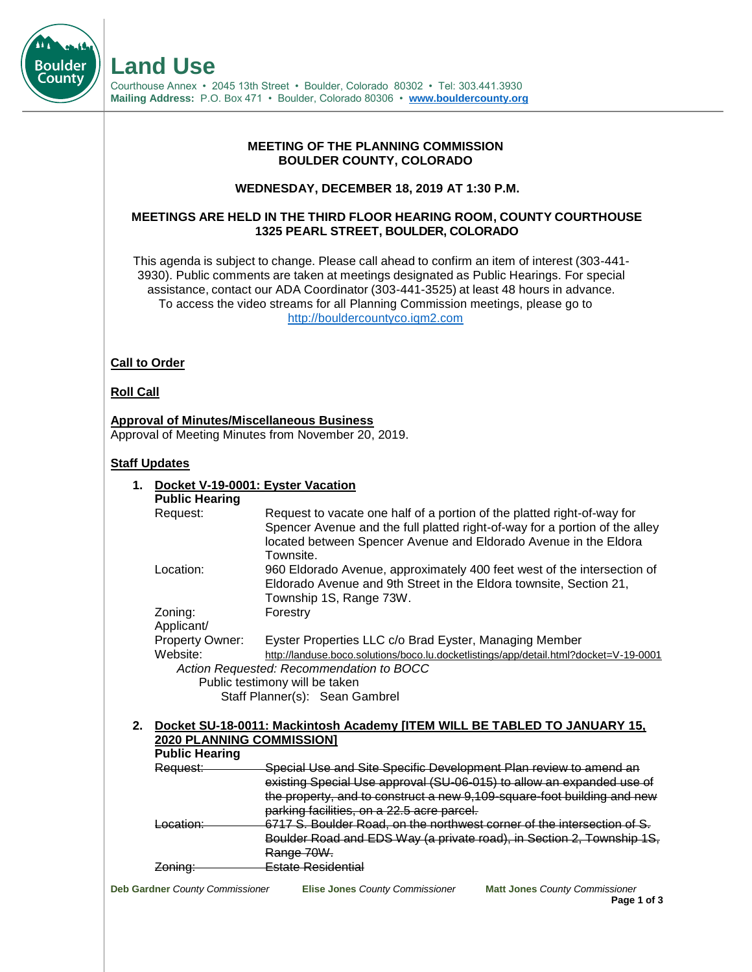#### **MEETING OF THE PLANNING COMMISSION BOULDER COUNTY, COLORADO**

#### **WEDNESDAY, DECEMBER 18, 2019 AT 1:30 P.M.**

# **MEETINGS ARE HELD IN THE THIRD FLOOR HEARING ROOM, COUNTY COURTHOUSE 1325 PEARL STREET, BOULDER, COLORADO**

This agenda is subject to change. Please call ahead to confirm an item of interest (303-441- 3930). Public comments are taken at meetings designated as Public Hearings. For special assistance, contact our ADA Coordinator (303-441-3525) at least 48 hours in advance. To access the video streams for all Planning Commission meetings, please go to [http://bouldercountyco.iqm2.com](http://bouldercountyco.iqm2.com/Citizens/Default.aspx)

# **Call to Order**

#### **Roll Call**

**Boulder** Count\

> **Approval of Minutes/Miscellaneous Business** Approval of Meeting Minutes from November 20, 2019.

# **Staff Updates**

| 1. | Docket V-19-0001: Eyster Vacation        |                                                                                                                                                                                                                                         |  |
|----|------------------------------------------|-----------------------------------------------------------------------------------------------------------------------------------------------------------------------------------------------------------------------------------------|--|
|    | <b>Public Hearing</b>                    |                                                                                                                                                                                                                                         |  |
|    | Request:                                 | Request to vacate one half of a portion of the platted right-of-way for<br>Spencer Avenue and the full platted right-of-way for a portion of the alley<br>located between Spencer Avenue and Eldorado Avenue in the Eldora<br>Townsite. |  |
|    | Location:                                | 960 Eldorado Avenue, approximately 400 feet west of the intersection of<br>Eldorado Avenue and 9th Street in the Eldora townsite, Section 21,<br>Township 1S, Range 73W.                                                                |  |
|    | Zoning:<br>Applicant/                    | Forestry                                                                                                                                                                                                                                |  |
|    | Property Owner:                          | Eyster Properties LLC c/o Brad Eyster, Managing Member                                                                                                                                                                                  |  |
|    | Website:                                 | http://landuse.boco.solutions/boco.lu.docketlistings/app/detail.html?docket=V-19-0001                                                                                                                                                   |  |
|    | Action Requested: Recommendation to BOCC |                                                                                                                                                                                                                                         |  |
|    |                                          | Public testimony will be taken                                                                                                                                                                                                          |  |
|    |                                          | Staff Planner(s): Sean Gambrel                                                                                                                                                                                                          |  |
| 2. |                                          | Docket SU-18-0011: Mackintosh Academy [ITEM WILL BE TABLED TO JANUARY 15,                                                                                                                                                               |  |
|    | <b>2020 PLANNING COMMISSION]</b>         |                                                                                                                                                                                                                                         |  |
|    | <b>Public Hearing</b>                    |                                                                                                                                                                                                                                         |  |
|    | Request:                                 | Special Use and Site Specific Development Plan review to amend an                                                                                                                                                                       |  |
|    |                                          | existing Special Use approval (SU-06-015) to allow an expanded use of                                                                                                                                                                   |  |
|    |                                          | the property, and to construct a new 9,109-square-foot building and new                                                                                                                                                                 |  |
|    |                                          | parking facilities, on a 22.5 acre parcel.                                                                                                                                                                                              |  |
|    | <u>acation:</u>                          | 6717 S. Boulder Road, on the northwest corner of the intersection of S.                                                                                                                                                                 |  |
|    |                                          | Boulder Road and EDS Way (a private road), in Section 2, Township 1S,                                                                                                                                                                   |  |
|    |                                          | Range 70W.                                                                                                                                                                                                                              |  |

Zoning: **Estate Residential** 

**Deb Gardner** *County Commissioner* **Elise Jones** *County Commissioner* **Matt Jones** *County Commissioner*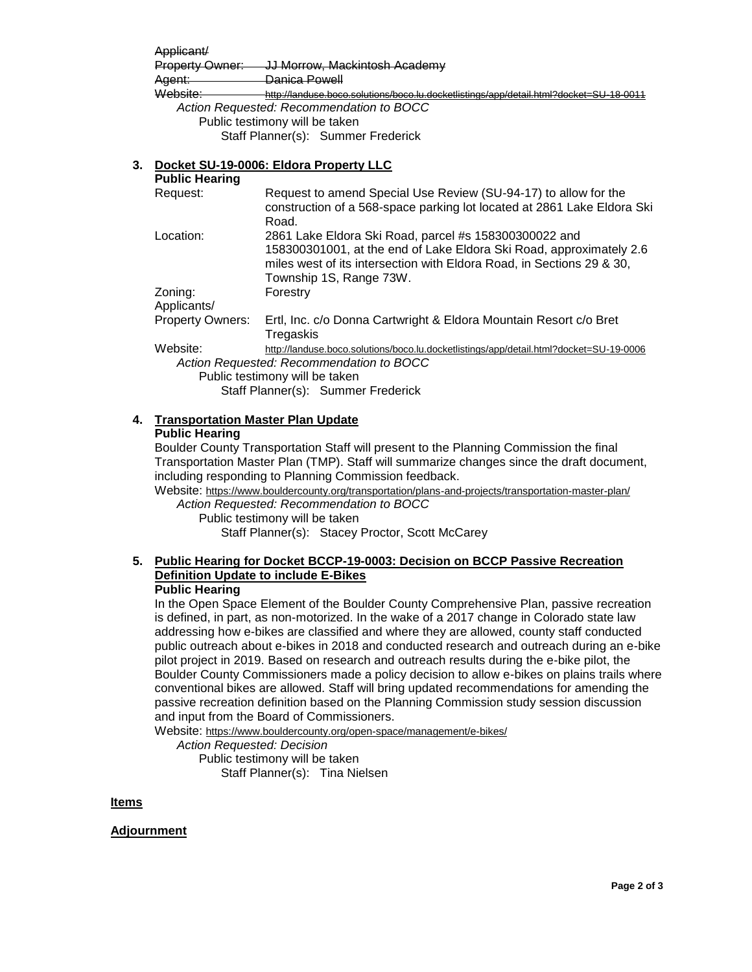| Applicant/      |                                                                                        |
|-----------------|----------------------------------------------------------------------------------------|
| Property Owner: | JJ Morrow, Mackintosh Academy                                                          |
| Agent:          | Danica Powell<br><del>Damoa r owon</del>                                               |
| Website:        | http://landuse.boco.solutions/boco.lu.docketlistings/app/detail.html?docket=SU-18-0011 |

*Action Requested: Recommendation to BOCC* Public testimony will be taken Staff Planner(s): Summer Frederick

# **3. Docket SU-19-0006: Eldora Property LLC**

**Public Hearing**

| Request:                | Request to amend Special Use Review (SU-94-17) to allow for the<br>construction of a 568-space parking lot located at 2861 Lake Eldora Ski<br>Road.                                                                              |
|-------------------------|----------------------------------------------------------------------------------------------------------------------------------------------------------------------------------------------------------------------------------|
| Location:               | 2861 Lake Eldora Ski Road, parcel #s 158300300022 and<br>158300301001, at the end of Lake Eldora Ski Road, approximately 2.6<br>miles west of its intersection with Eldora Road, in Sections 29 & 30,<br>Township 1S, Range 73W. |
| Zoning:<br>Applicants/  | Forestry                                                                                                                                                                                                                         |
| <b>Property Owners:</b> | Ertl, Inc. c/o Donna Cartwright & Eldora Mountain Resort c/o Bret<br>Tregaskis                                                                                                                                                   |
| Website:                | http://landuse.boco.solutions/boco.lu.docketlistings/app/detail.html?docket=SU-19-0006                                                                                                                                           |

*Action Requested: Recommendation to BOCC* Public testimony will be taken Staff Planner(s): Summer Frederick

# **4. Transportation Master Plan Update**

#### **Public Hearing**

Boulder County Transportation Staff will present to the Planning Commission the final Transportation Master Plan (TMP). Staff will summarize changes since the draft document, including responding to Planning Commission feedback.

Website: https://www.bouldercounty.org/transportation/plans-and-projects/transportation-master-plan/

*Action Requested: Recommendation to BOCC* Public testimony will be taken Staff Planner(s): Stacey Proctor, Scott McCarey

#### **5. Public Hearing for Docket BCCP-19-0003: Decision on BCCP Passive Recreation Definition Update to include E-Bikes Public Hearing**

In the Open Space Element of the Boulder County Comprehensive Plan, passive recreation is defined, in part, as non-motorized. In the wake of a 2017 change in Colorado state law addressing how e-bikes are classified and where they are allowed, county staff conducted public outreach about e-bikes in 2018 and conducted research and outreach during an e-bike pilot project in 2019. Based on research and outreach results during the e-bike pilot, the Boulder County Commissioners made a policy decision to allow e-bikes on plains trails where conventional bikes are allowed. Staff will bring updated recommendations for amending the passive recreation definition based on the Planning Commission study session discussion and input from the Board of Commissioners.

Website: https://www.bouldercounty.org/open-space/management/e-bikes/

*Action Requested: Decision*

Public testimony will be taken Staff Planner(s): Tina Nielsen

**Items**

**Adjournment**